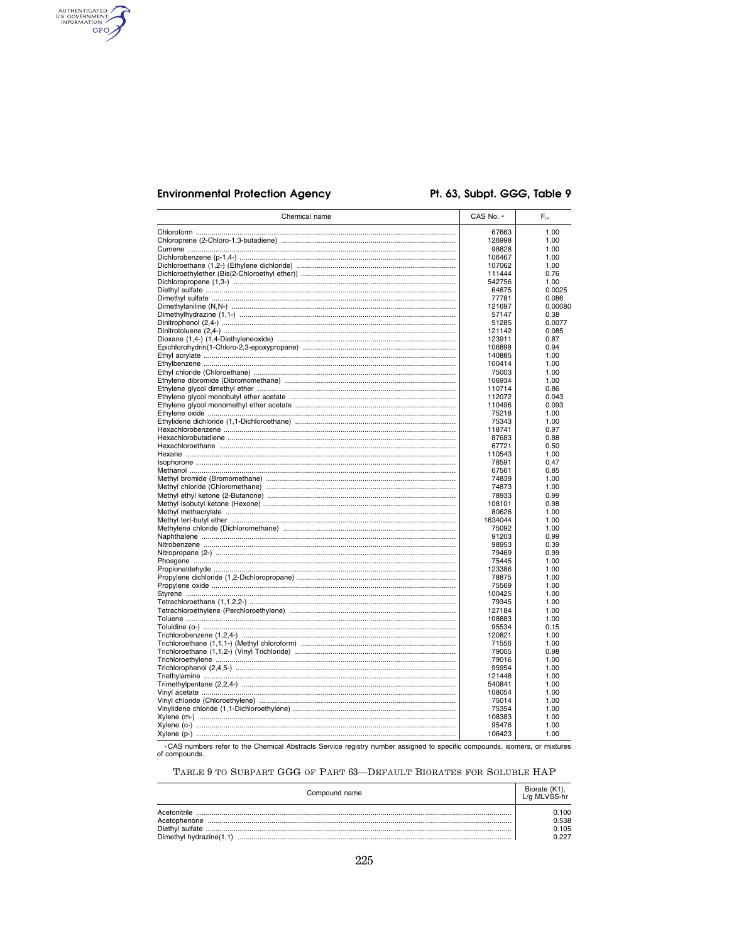# **Environmental Protection Agency**

AUTHENTICATED

# Pt. 63, Subpt. GGG, Table 9

| Chemical name | CAS No. a        | $F_m$          |
|---------------|------------------|----------------|
|               | 67663            | 1.00           |
|               | 126998           | 1.00           |
|               | 98828            | 1.00           |
|               | 106467           | 1.00           |
|               | 107062<br>111444 | 1.00<br>0.76   |
|               | 542756           | 1.00           |
|               | 64675            | 0.0025         |
|               | 77781            | 0.086          |
|               | 121697           | 0.00080        |
|               | 57147            | 0.38           |
|               | 51285            | 0.0077         |
|               | 121142<br>123911 | 0.085<br>0.87  |
|               | 106898           | 0.94           |
|               | 140885           | 1.00           |
|               | 100414           | 1.00           |
|               | 75003            | 1.00           |
|               | 106934           | 1.00           |
|               | 110714           | 0.86           |
|               | 112072<br>110496 | 0.043<br>0.093 |
|               | 75218            | 1.00           |
|               | 75343            | 1.00           |
|               | 118741           | 0.97           |
|               | 87683            | 0.88           |
|               | 67721            | 0.50           |
|               | 110543           | 1.00           |
|               | 78591<br>67561   | 0.47<br>0.85   |
|               | 74839            | 1.00           |
|               | 74873            | 1.00           |
|               | 78933            | 0.99           |
|               | 108101           | 0.98           |
|               | 80626            | 1.00           |
|               | 1634044<br>75092 | 1.00<br>1.00   |
|               | 91203            | 0.99           |
|               | 98953            | 0.39           |
|               | 79469            | 0.99           |
|               | 75445            | 1.00           |
|               | 123386           | 1.00           |
|               | 78875            | 1.00           |
|               | 75569<br>100425  | 1.00<br>1.00   |
|               | 79345            | 1.00           |
|               | 127184           | 1.00           |
|               | 108883           | 1.00           |
|               | 95534            | 0.15           |
|               | 120821           | 1.00           |
|               | 71556            | 1.00           |
|               | 79005            | 0.98           |
|               | 79016<br>95954   | 1.00<br>1.00   |
|               | 121448           | 1.00           |
|               | 540841           | 1.00           |
|               | 108054           | 1.00           |
|               | 75014            | 1.00           |
|               | 75354            | 1.00           |
|               | 108383<br>95476  | 1.00<br>1.00   |
|               | 106423           | 1.00           |
|               |                  |                |

"CAS numbers refer to the Chemical Abstracts Service registry number assigned to specific compounds, isomers, or mixtures<br>of compounds.

TABLE 9 TO SUBPART GGG OF PART 63-DEFAULT BIORATES FOR SOLUBLE HAP

| Compound name           | Biorate (K1),<br>L/g MLVSS-hr |
|-------------------------|-------------------------------|
| Acetonitrile            | 0.100                         |
| Acetophenone            | 0.538                         |
|                         | 0.105                         |
| Dimethyl hydrazine(1.1) | N 227                         |